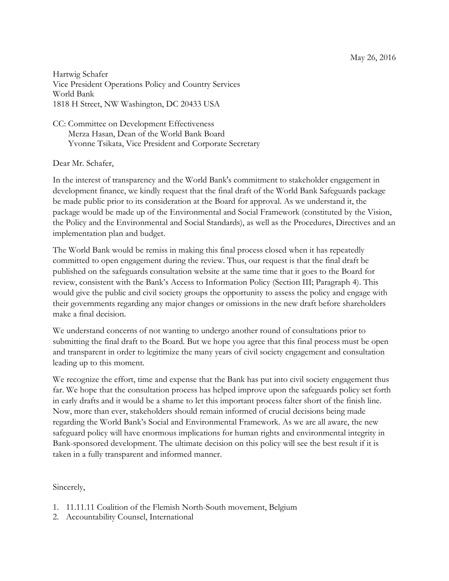Hartwig Schafer Vice President Operations Policy and Country Services World Bank 1818 H Street, NW Washington, DC 20433 USA

CC: Committee on Development Effectiveness Merza Hasan, Dean of the World Bank Board Yvonne Tsikata, Vice President and Corporate Secretary

## Dear Mr. Schafer,

In the interest of transparency and the World Bank's commitment to stakeholder engagement in development finance, we kindly request that the final draft of the World Bank Safeguards package be made public prior to its consideration at the Board for approval. As we understand it, the package would be made up of the Environmental and Social Framework (constituted by the Vision, the Policy and the Environmental and Social Standards), as well as the Procedures, Directives and an implementation plan and budget.

The World Bank would be remiss in making this final process closed when it has repeatedly committed to open engagement during the review. Thus, our request is that the final draft be published on the safeguards consultation website at the same time that it goes to the Board for review, consistent with the Bank's Access to Information Policy (Section III; Paragraph 4). This would give the public and civil society groups the opportunity to assess the policy and engage with their governments regarding any major changes or omissions in the new draft before shareholders make a final decision.

We understand concerns of not wanting to undergo another round of consultations prior to submitting the final draft to the Board. But we hope you agree that this final process must be open and transparent in order to legitimize the many years of civil society engagement and consultation leading up to this moment.

We recognize the effort, time and expense that the Bank has put into civil society engagement thus far. We hope that the consultation process has helped improve upon the safeguards policy set forth in early drafts and it would be a shame to let this important process falter short of the finish line. Now, more than ever, stakeholders should remain informed of crucial decisions being made regarding the World Bank's Social and Environmental Framework. As we are all aware, the new safeguard policy will have enormous implications for human rights and environmental integrity in Bank-sponsored development. The ultimate decision on this policy will see the best result if it is taken in a fully transparent and informed manner.

## Sincerely,

- 1. 11.11.11 Coalition of the Flemish North-South movement, Belgium
- 2. Accountability Counsel, International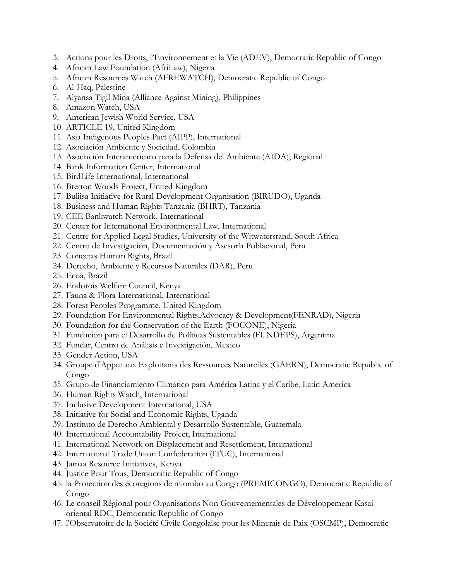- 3. Actions pour les Droits, l'Environnement et la Vie (ADEV), Democratic Republic of Congo
- 4. African Law Foundation (AfriLaw), Nigeria
- 5. African Resources Watch (AFREWATCH), Democratic Republic of Congo
- 6. Al-Haq, Palestine
- 7. Alyansa Tigil Mina (Alliance Against Mining), Philippines
- 8. Amazon Watch, USA
- 9. American Jewish World Service, USA
- 10. ARTICLE 19, United Kingdom
- 11. Asia Indigenous Peoples Pact (AIPP), International
- 12. Asociación Ambiente y Sociedad, Colombia
- 13. Asociación Interamericana para la Defensa del Ambiente (AIDA), Regional
- 14. Bank Information Center, International
- 15. BirdLife International, International
- 16. Bretton Woods Project, United Kingdom
- 17. Buliisa Initiative for Rural Development Organisation (BIRUDO), Uganda
- 18. Business and Human Rights Tanzania (BHRT), Tanzania
- 19. CEE Bankwatch Network, International
- 20. Center for International Environmental Law, International
- 21. Centre for Applied Legal Studies, University of the Witwatersrand, South Africa
- 22. Centro de Investigación, Documentación y Asesoría Poblacional, Peru
- 23. Conectas Human Rights, Brazil
- 24. Derecho, Ambiente y Recursos Naturales (DAR), Peru
- 25. Ecoa, Brazil
- 26. Endorois Welfare Council, Kenya
- 27. Fauna & Flora International, International
- 28. Forest Peoples Programme, United Kingdom
- 29. Foundation For Environmental Rights,Advocacy & Development(FENRAD), Nigeria
- 30. Foundation for the Conservation of the Earth (FOCONE), Nigeria
- 31. Fundación para el Desarrollo de Políticas Sustentables (FUNDEPS), Argentina
- 32. Fundar, Centro de Análisis e Investigación, Mexico
- 33. Gender Action, USA
- 34. Groupe d'Appui aux Exploitants des Ressources Naturelles (GAERN), Democratic Republic of Congo
- 35. Grupo de Financiamiento Climático para América Latina y el Caribe, Latin America
- 36. Human Rights Watch, International
- 37. Inclusive Development International, USA
- 38. Initiative for Social and Economic Rights, Uganda
- 39. Instituto de Derecho Ambiental y Desarrollo Sustentable, Guatemala
- 40. International Accountability Project, International
- 41. International Network on Displacement and Resettlement, International
- 42. International Trade Union Confederation (ITUC), International
- 43. Jamaa Resource Initiatives, Kenya
- 44. Justice Pour Tous, Democratic Republic of Congo
- 45. la Protection des écoregions de miombo au Congo (PREMICONGO), Democratic Republic of Congo
- 46. Le conseil Régional pour Organisations Non Gouvernementales de Développement Kasai oriental RDC, Democratic Republic of Congo
- 47. l'Observatoire de la Société Civile Congolaise pour les Minerais de Paix (OSCMP), Democratic